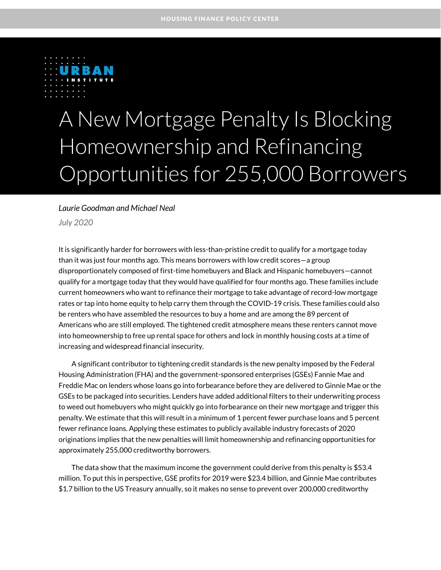

# A New Mortgage Penalty Is Blocking Homeownership and Refinancing Opportunities for 255,000 Borrowers

#### *Laurie Goodman and Michael Neal*

*July 2020*

It is significantly harder for borrowers with less-than-pristine credit to qualify for a mortgage today than it was just four months ago. This means borrowers with low credit scores—a group disproportionately composed of first-time homebuyers and Black and Hispanic homebuyers—cannot qualify for a mortgage today that they would have qualified for four months ago. These families include current homeowners who want to refinance their mortgage to take advantage of record-low mortgage rates or tap into home equity to help carry them through the COVID-19 crisis. These families could also be renters who have assembled the resources to buy a home and are among the 89 percent of Americans who are still employed. The tightened credit atmosphere means these renters cannot move into homeownership to free up rental space for others and lock in monthly housing costs at a time of increasing and widespread financial insecurity.

A significant contributor to tightening credit standards is the new penalty imposed by the Federal Housing Administration (FHA) and the government-sponsored enterprises (GSEs) Fannie Mae and Freddie Mac on lenders whose loans go into forbearance before they are delivered to Ginnie Mae or the GSEs to be packaged into securities. Lenders have added additional filters to their underwriting process to weed out homebuyers who might quickly go into forbearance on their new mortgage and trigger this penalty. We estimate that this will result in a minimum of 1 percent fewer purchase loans and 5 percent fewer refinance loans. Applying these estimates to publicly available industry forecasts of 2020 originations implies that the new penalties will limit homeownership and refinancing opportunities for approximately 255,000 creditworthy borrowers.

The data show that the maximum income the government could derive from this penalty is \$53.4 million. To put this in perspective, GSE profits for 2019 were \$23.4 billion, and Ginnie Mae contributes \$1.7 billion to the US Treasury annually, so it makes no sense to prevent over 200,000 creditworthy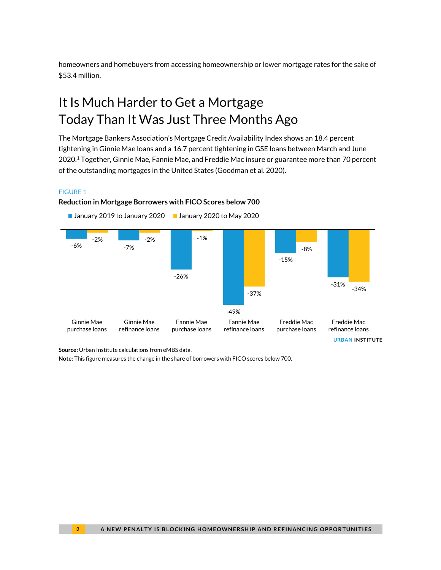homeowners and homebuyers from accessing homeownership or lower mortgage rates for the sake of \$53.4 million.

## It Is Much Harder to Get a Mortgage Today Than It Was Just Three Months Ago

The Mortgage Bankers Association's Mortgage Credit Availability Index shows an 18.4 percent tightening in Ginnie Mae loans and a 16.7 percent tightening in GSE loans between March and June 2020.<sup>1</sup> Together, Ginnie Mae, Fannie Mae, and Freddie Mac insure or guarantee more than 70 percent of the outstanding mortgages in the United States (Goodman et al. 2020).

#### FIGURE 1

#### **Reduction in Mortgage Borrowers with FICO Scores below 700**





**Source:** Urban Institute calculations from eMBS data.

**Note:** This figure measures the change in the share of borrowers with FICO scores below 700**.**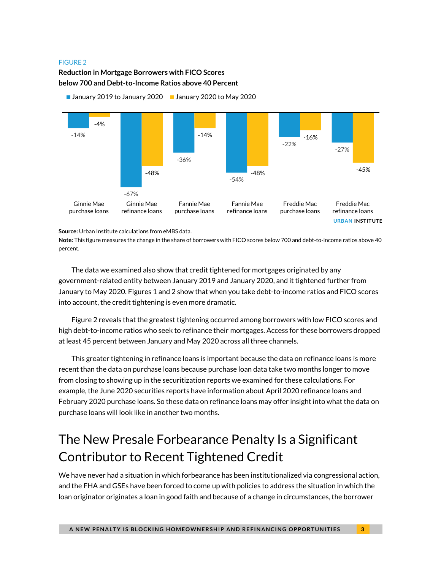#### FIGURE 2

#### **Reduction in Mortgage Borrowers with FICO Scores below 700 and Debt-to-Income Ratios above 40 Percent**



■ January 2019 to January 2020 ■ January 2020 to May 2020

**Note:** This figure measures the change in the share of borrowers with FICO scores below 700 and debt-to-income ratios above 40 percent.

The data we examined also show that credit tightened for mortgages originated by any government-related entity between January 2019 and January 2020, and it tightened further from January to May 2020. Figures 1 and 2 show that when you take debt-to-income ratios and FICO scores into account, the credit tightening is even more dramatic.

Figure 2 reveals that the greatest tightening occurred among borrowers with low FICO scores and high debt-to-income ratios who seek to refinance their mortgages. Access for these borrowers dropped at least 45 percent between January and May 2020 across all three channels.

This greater tightening in refinance loans is important because the data on refinance loans is more recent than the data on purchase loans because purchase loan data take two months longer to move from closing to showing up in the securitization reports we examined for these calculations. For example, the June 2020 securities reports have information about April 2020 refinance loans and February 2020 purchase loans. So these data on refinance loans may offer insight into what the data on purchase loans will look like in another two months.

### The New Presale Forbearance Penalty Is a Significant Contributor to Recent Tightened Credit

We have never had a situation in which forbearance has been institutionalized via congressional action, and the FHA and GSEs have been forced to come up with policies to address the situation in which the loan originator originates a loan in good faith and because of a change in circumstances, the borrower

**Source:** Urban Institute calculations from eMBS data.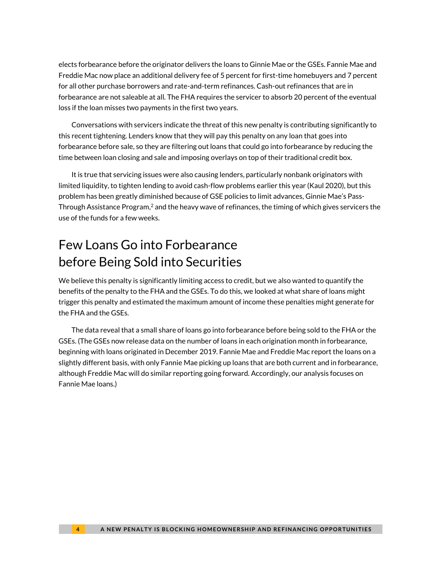elects forbearance before the originator delivers the loans to Ginnie Mae or the GSEs. Fannie Mae and Freddie Mac now place an additional delivery fee of 5 percent for first-time homebuyers and 7 percent for all other purchase borrowers and rate-and-term refinances. Cash-out refinances that are in forbearance are not saleable at all. The FHA requires the servicer to absorb 20 percent of the eventual loss if the loan misses two payments in the first two years.

Conversations with servicers indicate the threat of this new penalty is contributing significantly to this recent tightening. Lenders know that they will pay this penalty on any loan that goes into forbearance before sale, so they are filtering out loans that could go into forbearance by reducing the time between loan closing and sale and imposing overlays on top of their traditional credit box.

It is true that servicing issues were also causing lenders, particularly nonbank originators with limited liquidity, to tighten lending to avoid cash-flow problems earlier this year (Kaul 2020), but this problem has been greatly diminished because of GSE policies to limit advances, Ginnie Mae's Pass-Through Assistance Program, $^2$  and the heavy wave of refinances, the timing of which gives servicers the use of the funds for a few weeks.

## Few Loans Go into Forbearance before Being Sold into Securities

We believe this penalty is significantly limiting access to credit, but we also wanted to quantify the benefits of the penalty to the FHA and the GSEs. To do this, we looked at what share of loans might trigger this penalty and estimated the maximum amount of income these penalties might generate for the FHA and the GSEs.

The data reveal that a small share of loans go into forbearance before being sold to the FHA or the GSEs. (The GSEs now release data on the number of loans in each origination month in forbearance, beginning with loans originated in December 2019. Fannie Mae and Freddie Mac report the loans on a slightly different basis, with only Fannie Mae picking up loans that are both current and in forbearance, although Freddie Mac will do similar reporting going forward. Accordingly, our analysis focuses on Fannie Mae loans.)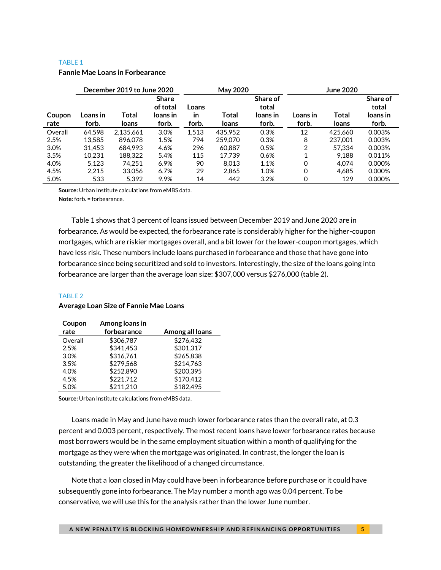#### TABLE 1

#### **Fannie Mae Loans in Forbearance**

|                |                   | December 2019 to June 2020 |                                               | May 2020             |                |                                        | <b>June 2020</b>  |                |                                        |
|----------------|-------------------|----------------------------|-----------------------------------------------|----------------------|----------------|----------------------------------------|-------------------|----------------|----------------------------------------|
| Coupon<br>rate | Loans in<br>forb. | Total<br>loans             | <b>Share</b><br>of total<br>loans in<br>forb. | Loans<br>in<br>forb. | Total<br>loans | Share of<br>total<br>loans in<br>forb. | Loans in<br>forb. | Total<br>loans | Share of<br>total<br>loans in<br>forb. |
| Overall        | 64.598            | 2.135.661                  | 3.0%                                          | 1.513                | 435.952        | 0.3%                                   | 12                | 425.660        | 0.003%                                 |
| 2.5%           | 13.585            | 896.078                    | 1.5%                                          | 794                  | 259,070        | 0.3%                                   | 8                 | 237.001        | 0.003%                                 |
| 3.0%           | 31.453            | 684.993                    | 4.6%                                          | 296                  | 60.887         | 0.5%                                   | 2                 | 57.334         | 0.003%                                 |
| 3.5%           | 10.231            | 188.322                    | 5.4%                                          | 115                  | 17.739         | 0.6%                                   |                   | 9.188          | 0.011%                                 |
| 4.0%           | 5,123             | 74.251                     | 6.9%                                          | 90                   | 8.013          | 1.1%                                   | 0                 | 4.074          | 0.000%                                 |
| 4.5%           | 2,215             | 33.056                     | 6.7%                                          | 29                   | 2.865          | 1.0%                                   | 0                 | 4.685          | 0.000%                                 |
| 5.0%           | 533               | 5,392                      | 9.9%                                          | 14                   | 442            | 3.2%                                   | 0                 | 129            | 0.000%                                 |

**Source:** Urban Institute calculations from eMBS data.

**Note:** forb. = forbearance.

Table 1 shows that 3 percent of loans issued between December 2019 and June 2020 are in forbearance. As would be expected, the forbearance rate is considerably higher for the higher-coupon mortgages, which are riskier mortgages overall, and a bit lower for the lower-coupon mortgages, which have less risk. These numbers include loans purchased in forbearance and those that have gone into forbearance since being securitized and sold to investors. Interestingly, the size of the loans going into forbearance are larger than the average loan size: \$307,000 versus \$276,000 (table 2).

#### TABLE 2

#### **Average Loan Size of Fannie Mae Loans**

| Coupon  | Among loans in |                 |
|---------|----------------|-----------------|
| rate    | forbearance    | Among all loans |
| Overall | \$306,787      | \$276,432       |
| 2.5%    | \$341,453      | \$301,317       |
| 3.0%    | \$316,761      | \$265,838       |
| 3.5%    | \$279,568      | \$214,763       |
| 4.0%    | \$252,890      | \$200,395       |
| 4.5%    | \$221,712      | \$170,412       |
| 5.0%    | \$211,210      | \$182,495       |

**Source:** Urban Institute calculations from eMBS data.

Loans made in May and June have much lower forbearance rates than the overall rate, at 0.3 percent and 0.003 percent, respectively. The most recent loans have lower forbearance rates because most borrowers would be in the same employment situation within a month of qualifying for the mortgage as they were when the mortgage was originated. In contrast, the longer the loan is outstanding, the greater the likelihood of a changed circumstance.

Note that a loan closed in May could have been in forbearance before purchase or it could have subsequently gone into forbearance. The May number a month ago was 0.04 percent. To be conservative, we will use this for the analysis rather than the lower June number.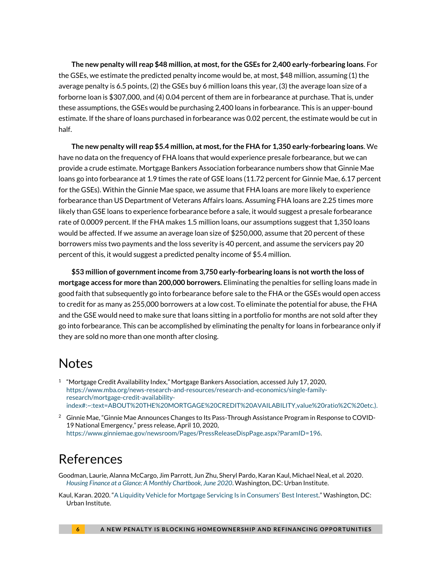**The new penalty will reap \$48 million, at most, for the GSEs for 2,400 early-forbearing loans**. For the GSEs, we estimate the predicted penalty income would be, at most, \$48 million, assuming (1) the average penalty is 6.5 points, (2) the GSEs buy 6 million loans this year, (3) the average loan size of a forborne loan is \$307,000, and (4) 0.04 percent of them are in forbearance at purchase. That is, under these assumptions, the GSEs would be purchasing 2,400 loans in forbearance. This is an upper-bound estimate. If the share of loans purchased in forbearance was 0.02 percent, the estimate would be cut in half.

**The new penalty will reap \$5.4 million, at most, for the FHA for 1,350 early-forbearing loans**. We have no data on the frequency of FHA loans that would experience presale forbearance, but we can provide a crude estimate. Mortgage Bankers Association forbearance numbers show that Ginnie Mae loans go into forbearance at 1.9 times the rate of GSE loans (11.72 percent for Ginnie Mae, 6.17 percent for the GSEs). Within the Ginnie Mae space, we assume that FHA loans are more likely to experience forbearance than US Department of Veterans Affairs loans. Assuming FHA loans are 2.25 times more likely than GSE loans to experience forbearance before a sale, it would suggest a presale forbearance rate of 0.0009 percent. If the FHA makes 1.5 million loans, our assumptions suggest that 1,350 loans would be affected. If we assume an average loan size of \$250,000, assume that 20 percent of these borrowers miss two payments and the loss severity is 40 percent, and assume the servicers pay 20 percent of this, it would suggest a predicted penalty income of \$5.4 million.

**\$53 million of government income from 3,750 early-forbearing loans is not worth the loss of mortgage access for more than 200,000 borrowers.** Eliminating the penalties for selling loans made in good faith that subsequently go into forbearance before sale to the FHA or the GSEs would open access to credit for as many as 255,000 borrowers at a low cost. To eliminate the potential for abuse, the FHA and the GSE would need to make sure that loans sitting in a portfolio for months are not sold after they go into forbearance. This can be accomplished by eliminating the penalty for loans in forbearance only if they are sold no more than one month after closing.

### Notes

- <sup>1</sup> "Mortgage Credit Availability Index," Mortgage Bankers Association, accessed July 17, 2020, [https://www.mba.org/news-research-and-resources/research-and-economics/single-family](https://www.mba.org/news-research-and-resources/research-and-economics/single-family-research/mortgage-credit-availability-index#:~:text=ABOUT%20THE%20MORTGAGE%20CREDIT%20AVAILABILITY,value%20ratio%2C%20etc.).)[research/mortgage-credit-availability](https://www.mba.org/news-research-and-resources/research-and-economics/single-family-research/mortgage-credit-availability-index#:~:text=ABOUT%20THE%20MORTGAGE%20CREDIT%20AVAILABILITY,value%20ratio%2C%20etc.).)[index#:~:text=ABOUT%20THE%20MORTGAGE%20CREDIT%20AVAILABILITY,value%20ratio%2C%20etc.\).](https://www.mba.org/news-research-and-resources/research-and-economics/single-family-research/mortgage-credit-availability-index#:~:text=ABOUT%20THE%20MORTGAGE%20CREDIT%20AVAILABILITY,value%20ratio%2C%20etc.).)
- <sup>2</sup> Ginnie Mae, "Ginnie Mae Announces Changes to Its Pass-Through Assistance Program in Response to COVID-19 National Emergency," press release, April 10, 2020, [https://www.ginniemae.gov/newsroom/Pages/PressReleaseDispPage.aspx?ParamID=196.](https://www.ginniemae.gov/newsroom/Pages/PressReleaseDispPage.aspx?ParamID=196)

### References

- Goodman, Laurie, Alanna McCargo, Jim Parrott, Jun Zhu, Sheryl Pardo, Karan Kaul, Michael Neal, et al. 2020. *[Housing Finance at a Glance: A Monthly Chartbook, June 2020](https://www.urban.org/sites/default/files/publication/102475/june-chartbook-2020.pdf)*. Washington, DC: Urban Institute.
- Kaul, Karan. 2020. "[A Liquidity Vehicle for Mortgage Servicing I](https://www.urban.org/research/publication/liquidity-vehicle-mortgage-servicing-advances-consumers-best-interest)s in Consumers' Best Interest." Washington, DC: Urban Institute.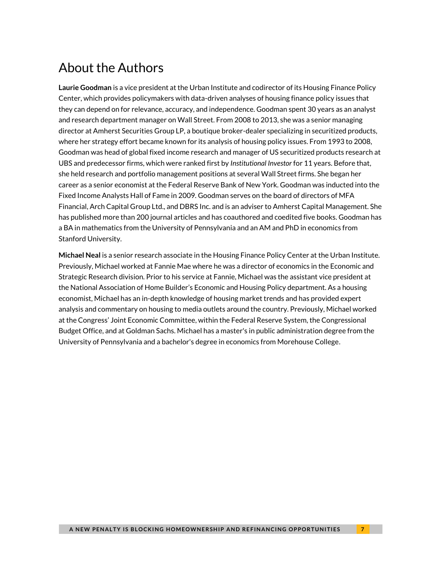## About the Authors

**Laurie Goodman** is a vice president at the Urban Institute and codirector of its Housing Finance Policy Center, which provides policymakers with data-driven analyses of housing finance policy issues that they can depend on for relevance, accuracy, and independence. Goodman spent 30 years as an analyst and research department manager on Wall Street. From 2008 to 2013, she was a senior managing director at Amherst Securities Group LP, a boutique broker-dealer specializing in securitized products, where her strategy effort became known for its analysis of housing policy issues. From 1993 to 2008, Goodman was head of global fixed income research and manager of US securitized products research at UBS and predecessor firms, which were ranked first by *Institutional Investor* for 11 years. Before that, she held research and portfolio management positions at several Wall Street firms. She began her career as a senior economist at the Federal Reserve Bank of New York. Goodman was inducted into the Fixed Income Analysts Hall of Fame in 2009. Goodman serves on the board of directors of MFA Financial, Arch Capital Group Ltd., and DBRS Inc. and is an adviser to Amherst Capital Management. She has published more than 200 journal articles and has coauthored and coedited five books. Goodman has a BA in mathematics from the University of Pennsylvania and an AM and PhD in economics from Stanford University.

**Michael Neal** is a senior research associate in the Housing Finance Policy Center at the Urban Institute. Previously, Michael worked at Fannie Mae where he was a director of economics in the Economic and Strategic Research division. Prior to his service at Fannie, Michael was the assistant vice president at the National Association of Home Builder's Economic and Housing Policy department. As a housing economist, Michael has an in-depth knowledge of housing market trends and has provided expert analysis and commentary on housing to media outlets around the country. Previously, Michael worked at the Congress' Joint Economic Committee, within the Federal Reserve System, the Congressional Budget Office, and at Goldman Sachs. Michael has a master's in public administration degree from the University of Pennsylvania and a bachelor's degree in economics from Morehouse College.